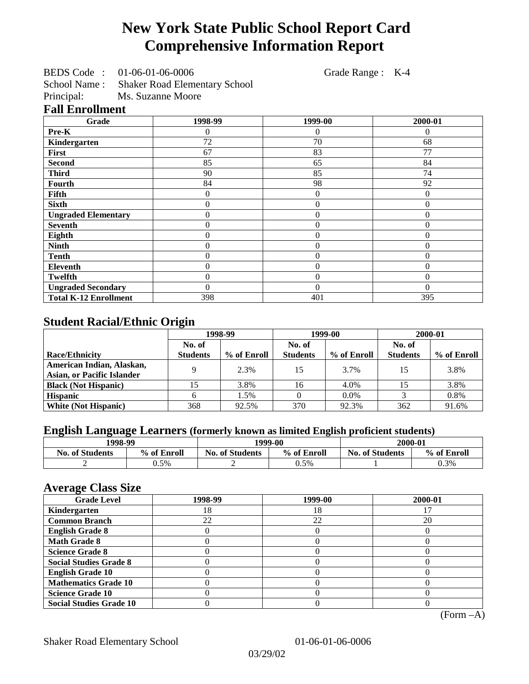# **New York State Public School Report Card Comprehensive Information Report**

BEDS Code : 01-06-01-06-0006 Grade Range : K-4

School Name : Shaker Road Elementary School<br>Principal: Ms. Suzanne Moore

Ms. Suzanne Moore

### **Fall Enrollment**

| Grade                        | 1998-99        | 1999-00          | 2000-01  |
|------------------------------|----------------|------------------|----------|
| Pre-K                        | 0              | $\left( \right)$ | 0        |
| Kindergarten                 | 72             | 70               | 68       |
| First                        | 67             | 83               | 77       |
| <b>Second</b>                | 85             | 65               | 84       |
| <b>Third</b>                 | 90             | 85               | 74       |
| <b>Fourth</b>                | 84             | 98               | 92       |
| Fifth                        | 0              | 0                | $\Omega$ |
| <b>Sixth</b>                 | 0              | $\theta$         | $\theta$ |
| <b>Ungraded Elementary</b>   | 0              | $\Omega$         | $\theta$ |
| <b>Seventh</b>               | $\overline{0}$ | $\overline{0}$   | $\Omega$ |
| Eighth                       | 0              | $\theta$         | $\theta$ |
| <b>Ninth</b>                 | $\overline{0}$ | $\overline{0}$   | $\theta$ |
| <b>Tenth</b>                 | $\overline{0}$ | $\overline{0}$   | $\theta$ |
| Eleventh                     | $\overline{0}$ | $\overline{0}$   | $\theta$ |
| <b>Twelfth</b>               | 0              | $\overline{0}$   | $\theta$ |
| <b>Ungraded Secondary</b>    | 0              | $\theta$         | $\Omega$ |
| <b>Total K-12 Enrollment</b> | 398            | 401              | 395      |

## **Student Racial/Ethnic Origin**

|                                                                  | 1998-99         |             | 1999-00         |             | 2000-01         |             |
|------------------------------------------------------------------|-----------------|-------------|-----------------|-------------|-----------------|-------------|
|                                                                  | No. of          |             | No. of          |             | No. of          |             |
| <b>Race/Ethnicity</b>                                            | <b>Students</b> | % of Enroll | <b>Students</b> | % of Enroll | <b>Students</b> | % of Enroll |
| American Indian, Alaskan,                                        | Q               | 2.3%        | 15              | 3.7%        | 15              | 3.8%        |
| <b>Asian, or Pacific Islander</b><br><b>Black (Not Hispanic)</b> |                 | 3.8%        | 16              | 4.0%        |                 | 3.8%        |
| <b>Hispanic</b>                                                  |                 | 1.5%        |                 | 0.0%        |                 | 0.8%        |
| <b>White (Not Hispanic)</b>                                      | 368             | 92.5%       | 370             | 92.3%       | 362             | 91.6%       |

## **English Language Learners (formerly known as limited English proficient students)**

| 1998-99                |             | 1999-00                |             | 2000-01                |             |
|------------------------|-------------|------------------------|-------------|------------------------|-------------|
| <b>No. of Students</b> | % of Enroll | <b>No. of Students</b> | % of Enroll | <b>No. of Students</b> | % of Enroll |
|                        | 0.5%        |                        | $0.5\%$     |                        | 0.3%        |

#### **Average Class Size**

| <b>Grade Level</b>             | 1998-99 | 1999-00 | 2000-01 |
|--------------------------------|---------|---------|---------|
| Kindergarten                   | 18      | 18      |         |
| <b>Common Branch</b>           | 22      | 22      | 20      |
| <b>English Grade 8</b>         |         |         |         |
| <b>Math Grade 8</b>            |         |         |         |
| <b>Science Grade 8</b>         |         |         |         |
| <b>Social Studies Grade 8</b>  |         |         |         |
| <b>English Grade 10</b>        |         |         |         |
| <b>Mathematics Grade 10</b>    |         |         |         |
| <b>Science Grade 10</b>        |         |         |         |
| <b>Social Studies Grade 10</b> |         |         |         |

(Form –A)